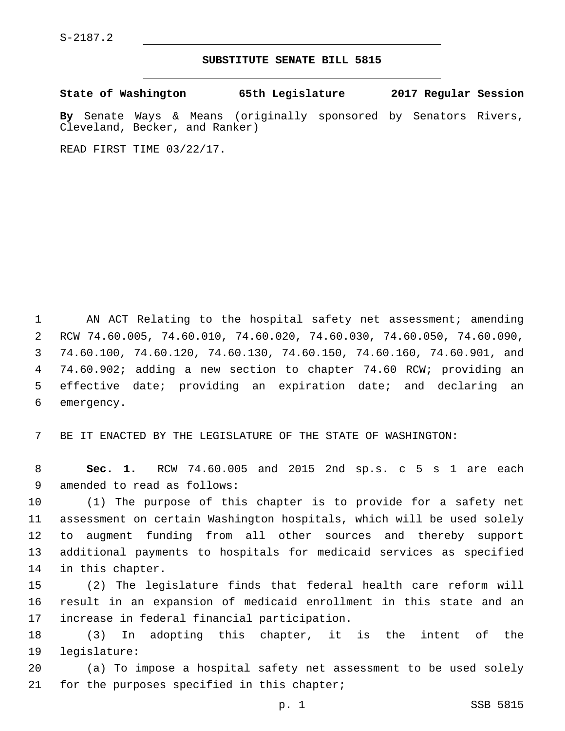## **SUBSTITUTE SENATE BILL 5815**

**State of Washington 65th Legislature 2017 Regular Session**

**By** Senate Ways & Means (originally sponsored by Senators Rivers, Cleveland, Becker, and Ranker)

READ FIRST TIME 03/22/17.

1 AN ACT Relating to the hospital safety net assessment; amending RCW 74.60.005, 74.60.010, 74.60.020, 74.60.030, 74.60.050, 74.60.090, 74.60.100, 74.60.120, 74.60.130, 74.60.150, 74.60.160, 74.60.901, and 74.60.902; adding a new section to chapter 74.60 RCW; providing an effective date; providing an expiration date; and declaring an 6 emergency.

7 BE IT ENACTED BY THE LEGISLATURE OF THE STATE OF WASHINGTON:

8 **Sec. 1.** RCW 74.60.005 and 2015 2nd sp.s. c 5 s 1 are each 9 amended to read as follows:

 (1) The purpose of this chapter is to provide for a safety net assessment on certain Washington hospitals, which will be used solely to augment funding from all other sources and thereby support additional payments to hospitals for medicaid services as specified 14 in this chapter.

15 (2) The legislature finds that federal health care reform will 16 result in an expansion of medicaid enrollment in this state and an 17 increase in federal financial participation.

18 (3) In adopting this chapter, it is the intent of the 19 legislature:

20 (a) To impose a hospital safety net assessment to be used solely 21 for the purposes specified in this chapter;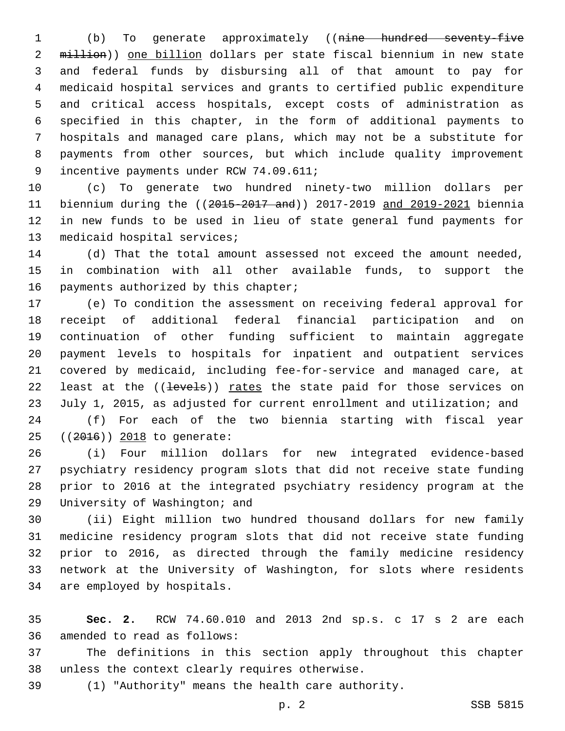(b) To generate approximately ((nine hundred seventy-five 2 million)) one billion dollars per state fiscal biennium in new state and federal funds by disbursing all of that amount to pay for medicaid hospital services and grants to certified public expenditure and critical access hospitals, except costs of administration as specified in this chapter, in the form of additional payments to hospitals and managed care plans, which may not be a substitute for payments from other sources, but which include quality improvement 9 incentive payments under RCW 74.09.611;

 (c) To generate two hundred ninety-two million dollars per biennium during the ((2015-2017 and)) 2017-2019 and 2019-2021 biennia in new funds to be used in lieu of state general fund payments for 13 medicaid hospital services;

 (d) That the total amount assessed not exceed the amount needed, in combination with all other available funds, to support the 16 payments authorized by this chapter;

 (e) To condition the assessment on receiving federal approval for receipt of additional federal financial participation and on continuation of other funding sufficient to maintain aggregate payment levels to hospitals for inpatient and outpatient services covered by medicaid, including fee-for-service and managed care, at 22 least at the ((levels)) rates the state paid for those services on July 1, 2015, as adjusted for current enrollment and utilization; and

 (f) For each of the two biennia starting with fiscal year 25 ((2016)) 2018 to generate:

 (i) Four million dollars for new integrated evidence-based psychiatry residency program slots that did not receive state funding prior to 2016 at the integrated psychiatry residency program at the 29 University of Washington; and

 (ii) Eight million two hundred thousand dollars for new family medicine residency program slots that did not receive state funding prior to 2016, as directed through the family medicine residency network at the University of Washington, for slots where residents 34 are employed by hospitals.

 **Sec. 2.** RCW 74.60.010 and 2013 2nd sp.s. c 17 s 2 are each 36 amended to read as follows:

 The definitions in this section apply throughout this chapter 38 unless the context clearly requires otherwise.

(1) "Authority" means the health care authority.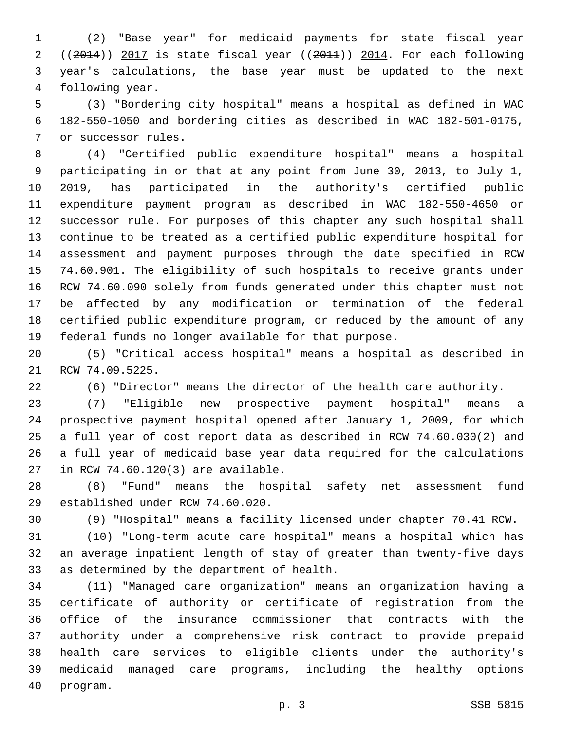(2) "Base year" for medicaid payments for state fiscal year ((2014)) 2017 is state fiscal year ((2011)) 2014. For each following year's calculations, the base year must be updated to the next 4 following year.

 (3) "Bordering city hospital" means a hospital as defined in WAC 182-550-1050 and bordering cities as described in WAC 182-501-0175, 7 or successor rules.

 (4) "Certified public expenditure hospital" means a hospital participating in or that at any point from June 30, 2013, to July 1, 2019, has participated in the authority's certified public expenditure payment program as described in WAC 182-550-4650 or successor rule. For purposes of this chapter any such hospital shall continue to be treated as a certified public expenditure hospital for assessment and payment purposes through the date specified in RCW 74.60.901. The eligibility of such hospitals to receive grants under RCW 74.60.090 solely from funds generated under this chapter must not be affected by any modification or termination of the federal certified public expenditure program, or reduced by the amount of any federal funds no longer available for that purpose.

 (5) "Critical access hospital" means a hospital as described in 21 RCW 74.09.5225.

(6) "Director" means the director of the health care authority.

 (7) "Eligible new prospective payment hospital" means a prospective payment hospital opened after January 1, 2009, for which a full year of cost report data as described in RCW 74.60.030(2) and a full year of medicaid base year data required for the calculations 27 in RCW 74.60.120(3) are available.

 (8) "Fund" means the hospital safety net assessment fund 29 established under RCW 74.60.020.

(9) "Hospital" means a facility licensed under chapter 70.41 RCW.

 (10) "Long-term acute care hospital" means a hospital which has an average inpatient length of stay of greater than twenty-five days 33 as determined by the department of health.

 (11) "Managed care organization" means an organization having a certificate of authority or certificate of registration from the office of the insurance commissioner that contracts with the authority under a comprehensive risk contract to provide prepaid health care services to eligible clients under the authority's medicaid managed care programs, including the healthy options 40 program.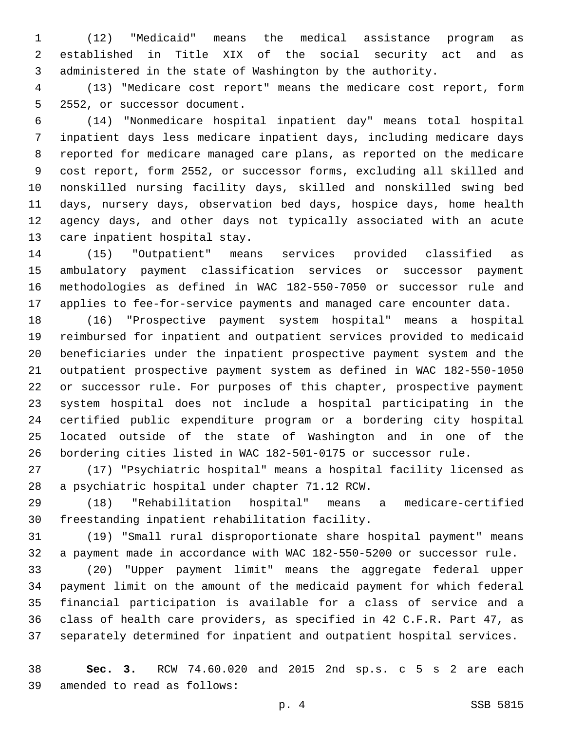(12) "Medicaid" means the medical assistance program as established in Title XIX of the social security act and as administered in the state of Washington by the authority.

 (13) "Medicare cost report" means the medicare cost report, form 5 2552, or successor document.

 (14) "Nonmedicare hospital inpatient day" means total hospital inpatient days less medicare inpatient days, including medicare days reported for medicare managed care plans, as reported on the medicare cost report, form 2552, or successor forms, excluding all skilled and nonskilled nursing facility days, skilled and nonskilled swing bed days, nursery days, observation bed days, hospice days, home health agency days, and other days not typically associated with an acute 13 care inpatient hospital stay.

 (15) "Outpatient" means services provided classified as ambulatory payment classification services or successor payment methodologies as defined in WAC 182-550-7050 or successor rule and applies to fee-for-service payments and managed care encounter data.

 (16) "Prospective payment system hospital" means a hospital reimbursed for inpatient and outpatient services provided to medicaid beneficiaries under the inpatient prospective payment system and the outpatient prospective payment system as defined in WAC 182-550-1050 or successor rule. For purposes of this chapter, prospective payment system hospital does not include a hospital participating in the certified public expenditure program or a bordering city hospital located outside of the state of Washington and in one of the bordering cities listed in WAC 182-501-0175 or successor rule.

 (17) "Psychiatric hospital" means a hospital facility licensed as 28 a psychiatric hospital under chapter 71.12 RCW.

 (18) "Rehabilitation hospital" means a medicare-certified 30 freestanding inpatient rehabilitation facility.

 (19) "Small rural disproportionate share hospital payment" means a payment made in accordance with WAC 182-550-5200 or successor rule.

 (20) "Upper payment limit" means the aggregate federal upper payment limit on the amount of the medicaid payment for which federal financial participation is available for a class of service and a class of health care providers, as specified in 42 C.F.R. Part 47, as separately determined for inpatient and outpatient hospital services.

 **Sec. 3.** RCW 74.60.020 and 2015 2nd sp.s. c 5 s 2 are each 39 amended to read as follows: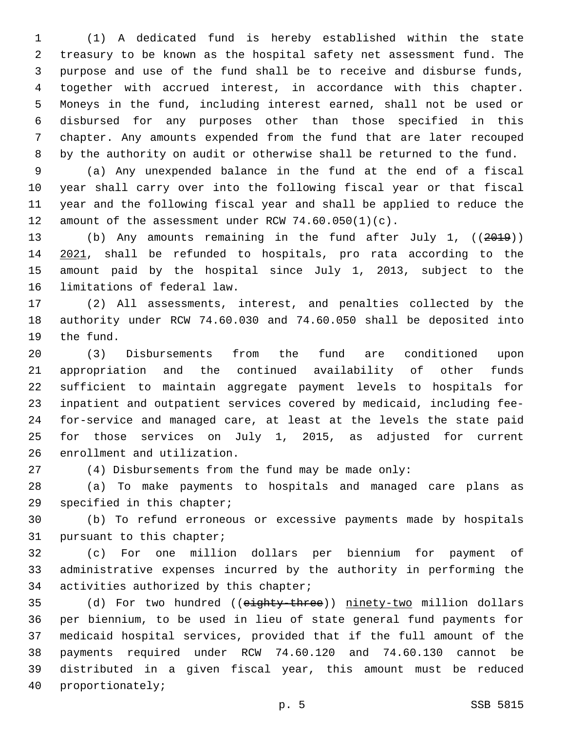(1) A dedicated fund is hereby established within the state treasury to be known as the hospital safety net assessment fund. The purpose and use of the fund shall be to receive and disburse funds, together with accrued interest, in accordance with this chapter. Moneys in the fund, including interest earned, shall not be used or disbursed for any purposes other than those specified in this chapter. Any amounts expended from the fund that are later recouped by the authority on audit or otherwise shall be returned to the fund.

 (a) Any unexpended balance in the fund at the end of a fiscal year shall carry over into the following fiscal year or that fiscal year and the following fiscal year and shall be applied to reduce the 12 amount of the assessment under RCW  $74.60.050(1)(c)$ .

 (b) Any amounts remaining in the fund after July 1, ((2019)) 2021, shall be refunded to hospitals, pro rata according to the amount paid by the hospital since July 1, 2013, subject to the 16 limitations of federal law.

 (2) All assessments, interest, and penalties collected by the authority under RCW 74.60.030 and 74.60.050 shall be deposited into 19 the fund.

 (3) Disbursements from the fund are conditioned upon appropriation and the continued availability of other funds sufficient to maintain aggregate payment levels to hospitals for inpatient and outpatient services covered by medicaid, including fee- for-service and managed care, at least at the levels the state paid for those services on July 1, 2015, as adjusted for current 26 enrollment and utilization.

(4) Disbursements from the fund may be made only:

 (a) To make payments to hospitals and managed care plans as 29 specified in this chapter;

 (b) To refund erroneous or excessive payments made by hospitals 31 pursuant to this chapter;

 (c) For one million dollars per biennium for payment of administrative expenses incurred by the authority in performing the 34 activities authorized by this chapter;

35 (d) For two hundred ((eighty-three)) ninety-two million dollars per biennium, to be used in lieu of state general fund payments for medicaid hospital services, provided that if the full amount of the payments required under RCW 74.60.120 and 74.60.130 cannot be distributed in a given fiscal year, this amount must be reduced 40 proportionately;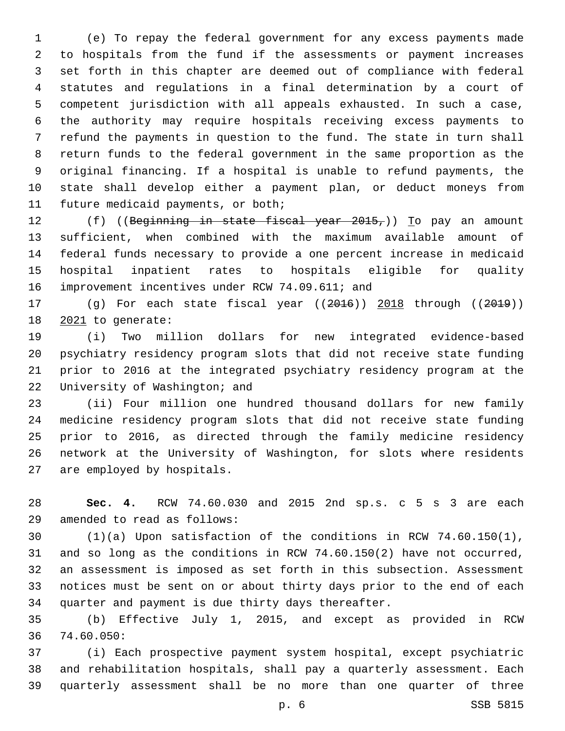(e) To repay the federal government for any excess payments made to hospitals from the fund if the assessments or payment increases set forth in this chapter are deemed out of compliance with federal statutes and regulations in a final determination by a court of competent jurisdiction with all appeals exhausted. In such a case, the authority may require hospitals receiving excess payments to refund the payments in question to the fund. The state in turn shall return funds to the federal government in the same proportion as the original financing. If a hospital is unable to refund payments, the state shall develop either a payment plan, or deduct moneys from 11 future medicaid payments, or both;

12 (f) ((Beginning in state fiscal year 2015,)) To pay an amount sufficient, when combined with the maximum available amount of federal funds necessary to provide a one percent increase in medicaid hospital inpatient rates to hospitals eligible for quality 16 improvement incentives under RCW 74.09.611; and

 (g) For each state fiscal year ((2016)) 2018 through ((2019)) 18 2021 to generate:

 (i) Two million dollars for new integrated evidence-based psychiatry residency program slots that did not receive state funding prior to 2016 at the integrated psychiatry residency program at the 22 University of Washington; and

 (ii) Four million one hundred thousand dollars for new family medicine residency program slots that did not receive state funding prior to 2016, as directed through the family medicine residency network at the University of Washington, for slots where residents 27 are employed by hospitals.

 **Sec. 4.** RCW 74.60.030 and 2015 2nd sp.s. c 5 s 3 are each 29 amended to read as follows:

 (1)(a) Upon satisfaction of the conditions in RCW 74.60.150(1), and so long as the conditions in RCW 74.60.150(2) have not occurred, an assessment is imposed as set forth in this subsection. Assessment notices must be sent on or about thirty days prior to the end of each quarter and payment is due thirty days thereafter.

 (b) Effective July 1, 2015, and except as provided in RCW 36 74.60.050:

 (i) Each prospective payment system hospital, except psychiatric and rehabilitation hospitals, shall pay a quarterly assessment. Each quarterly assessment shall be no more than one quarter of three

p. 6 SSB 5815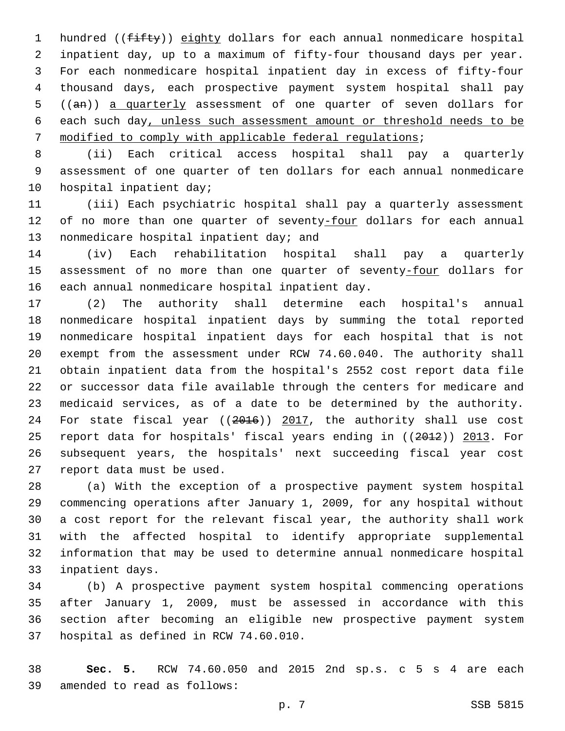1 hundred ((fifty)) eighty dollars for each annual nonmedicare hospital inpatient day, up to a maximum of fifty-four thousand days per year. For each nonmedicare hospital inpatient day in excess of fifty-four thousand days, each prospective payment system hospital shall pay ((an)) a quarterly assessment of one quarter of seven dollars for each such day, unless such assessment amount or threshold needs to be modified to comply with applicable federal regulations;

 (ii) Each critical access hospital shall pay a quarterly assessment of one quarter of ten dollars for each annual nonmedicare 10 hospital inpatient day;

 (iii) Each psychiatric hospital shall pay a quarterly assessment 12 of no more than one quarter of seventy-four dollars for each annual 13 nonmedicare hospital inpatient day; and

 (iv) Each rehabilitation hospital shall pay a quarterly 15 assessment of no more than one quarter of seventy-four dollars for 16 each annual nonmedicare hospital inpatient day.

 (2) The authority shall determine each hospital's annual nonmedicare hospital inpatient days by summing the total reported nonmedicare hospital inpatient days for each hospital that is not exempt from the assessment under RCW 74.60.040. The authority shall obtain inpatient data from the hospital's 2552 cost report data file or successor data file available through the centers for medicare and medicaid services, as of a date to be determined by the authority. 24 For state fiscal year ((2016)) 2017, the authority shall use cost report data for hospitals' fiscal years ending in ((2012)) 2013. For subsequent years, the hospitals' next succeeding fiscal year cost 27 report data must be used.

 (a) With the exception of a prospective payment system hospital commencing operations after January 1, 2009, for any hospital without a cost report for the relevant fiscal year, the authority shall work with the affected hospital to identify appropriate supplemental information that may be used to determine annual nonmedicare hospital 33 inpatient days.

 (b) A prospective payment system hospital commencing operations after January 1, 2009, must be assessed in accordance with this section after becoming an eligible new prospective payment system 37 hospital as defined in RCW 74.60.010.

 **Sec. 5.** RCW 74.60.050 and 2015 2nd sp.s. c 5 s 4 are each 39 amended to read as follows: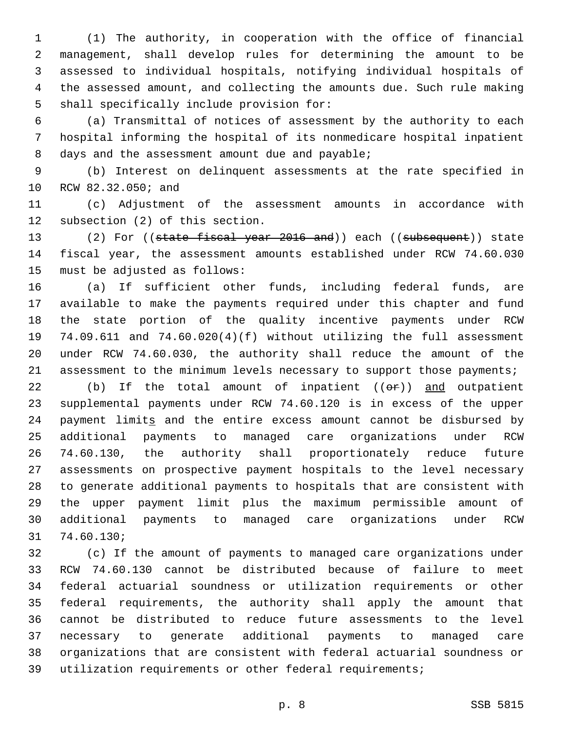(1) The authority, in cooperation with the office of financial management, shall develop rules for determining the amount to be assessed to individual hospitals, notifying individual hospitals of the assessed amount, and collecting the amounts due. Such rule making 5 shall specifically include provision for:

 (a) Transmittal of notices of assessment by the authority to each hospital informing the hospital of its nonmedicare hospital inpatient 8 days and the assessment amount due and payable;

 (b) Interest on delinquent assessments at the rate specified in 10 RCW 82.32.050; and

 (c) Adjustment of the assessment amounts in accordance with 12 subsection (2) of this section.

13 (2) For ((state fiscal year 2016 and)) each ((subsequent)) state fiscal year, the assessment amounts established under RCW 74.60.030 15 must be adjusted as follows:

 (a) If sufficient other funds, including federal funds, are available to make the payments required under this chapter and fund the state portion of the quality incentive payments under RCW 74.09.611 and 74.60.020(4)(f) without utilizing the full assessment under RCW 74.60.030, the authority shall reduce the amount of the 21 assessment to the minimum levels necessary to support those payments;

22 (b) If the total amount of inpatient  $((\Theta \oplus f))$  and outpatient supplemental payments under RCW 74.60.120 is in excess of the upper payment limits and the entire excess amount cannot be disbursed by additional payments to managed care organizations under RCW 74.60.130, the authority shall proportionately reduce future assessments on prospective payment hospitals to the level necessary to generate additional payments to hospitals that are consistent with the upper payment limit plus the maximum permissible amount of additional payments to managed care organizations under RCW 74.60.130;31

 (c) If the amount of payments to managed care organizations under RCW 74.60.130 cannot be distributed because of failure to meet federal actuarial soundness or utilization requirements or other federal requirements, the authority shall apply the amount that cannot be distributed to reduce future assessments to the level necessary to generate additional payments to managed care organizations that are consistent with federal actuarial soundness or utilization requirements or other federal requirements;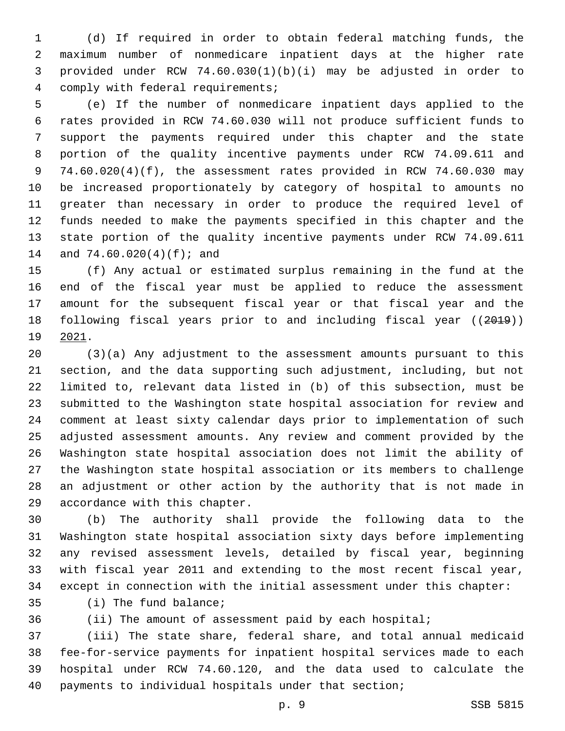(d) If required in order to obtain federal matching funds, the maximum number of nonmedicare inpatient days at the higher rate provided under RCW 74.60.030(1)(b)(i) may be adjusted in order to 4 comply with federal requirements;

 (e) If the number of nonmedicare inpatient days applied to the rates provided in RCW 74.60.030 will not produce sufficient funds to support the payments required under this chapter and the state portion of the quality incentive payments under RCW 74.09.611 and 74.60.020(4)(f), the assessment rates provided in RCW 74.60.030 may be increased proportionately by category of hospital to amounts no greater than necessary in order to produce the required level of funds needed to make the payments specified in this chapter and the state portion of the quality incentive payments under RCW 74.09.611 14 and 74.60.020(4)(f); and

 (f) Any actual or estimated surplus remaining in the fund at the end of the fiscal year must be applied to reduce the assessment amount for the subsequent fiscal year or that fiscal year and the following fiscal years prior to and including fiscal year ((2019)) 19 2021.

 (3)(a) Any adjustment to the assessment amounts pursuant to this section, and the data supporting such adjustment, including, but not limited to, relevant data listed in (b) of this subsection, must be submitted to the Washington state hospital association for review and comment at least sixty calendar days prior to implementation of such adjusted assessment amounts. Any review and comment provided by the Washington state hospital association does not limit the ability of the Washington state hospital association or its members to challenge an adjustment or other action by the authority that is not made in 29 accordance with this chapter.

 (b) The authority shall provide the following data to the Washington state hospital association sixty days before implementing any revised assessment levels, detailed by fiscal year, beginning with fiscal year 2011 and extending to the most recent fiscal year, except in connection with the initial assessment under this chapter:

35 (i) The fund balance;

(ii) The amount of assessment paid by each hospital;

 (iii) The state share, federal share, and total annual medicaid fee-for-service payments for inpatient hospital services made to each hospital under RCW 74.60.120, and the data used to calculate the payments to individual hospitals under that section;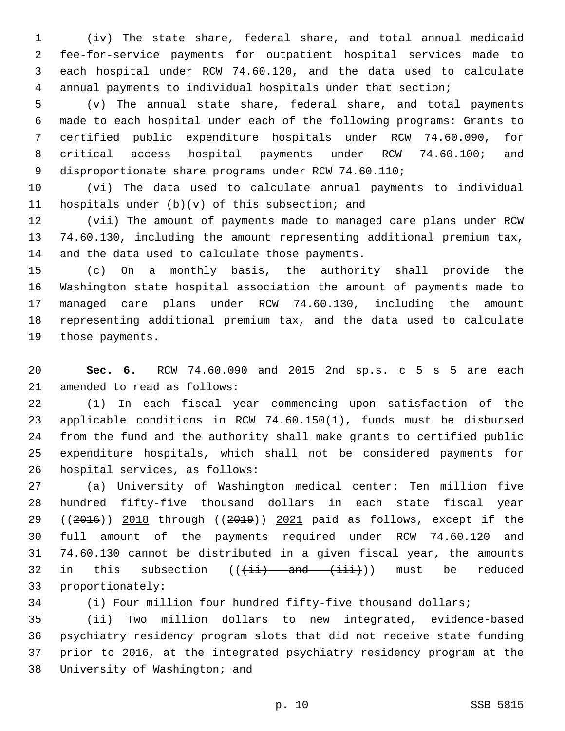(iv) The state share, federal share, and total annual medicaid fee-for-service payments for outpatient hospital services made to each hospital under RCW 74.60.120, and the data used to calculate annual payments to individual hospitals under that section;

 (v) The annual state share, federal share, and total payments made to each hospital under each of the following programs: Grants to certified public expenditure hospitals under RCW 74.60.090, for critical access hospital payments under RCW 74.60.100; and disproportionate share programs under RCW 74.60.110;

 (vi) The data used to calculate annual payments to individual 11 hospitals under  $(b)(v)$  of this subsection; and

 (vii) The amount of payments made to managed care plans under RCW 74.60.130, including the amount representing additional premium tax, 14 and the data used to calculate those payments.

 (c) On a monthly basis, the authority shall provide the Washington state hospital association the amount of payments made to managed care plans under RCW 74.60.130, including the amount representing additional premium tax, and the data used to calculate 19 those payments.

 **Sec. 6.** RCW 74.60.090 and 2015 2nd sp.s. c 5 s 5 are each 21 amended to read as follows:

 (1) In each fiscal year commencing upon satisfaction of the applicable conditions in RCW 74.60.150(1), funds must be disbursed from the fund and the authority shall make grants to certified public expenditure hospitals, which shall not be considered payments for 26 hospital services, as follows:

 (a) University of Washington medical center: Ten million five hundred fifty-five thousand dollars in each state fiscal year 29 ((2016)) 2018 through ((2019)) 2021 paid as follows, except if the full amount of the payments required under RCW 74.60.120 and 74.60.130 cannot be distributed in a given fiscal year, the amounts 32 in this subsection  $((\pm i)^2)$  and  $(\pm i)^2$ ) must be reduced 33 proportionately:

(i) Four million four hundred fifty-five thousand dollars;

 (ii) Two million dollars to new integrated, evidence-based psychiatry residency program slots that did not receive state funding prior to 2016, at the integrated psychiatry residency program at the 38 University of Washington; and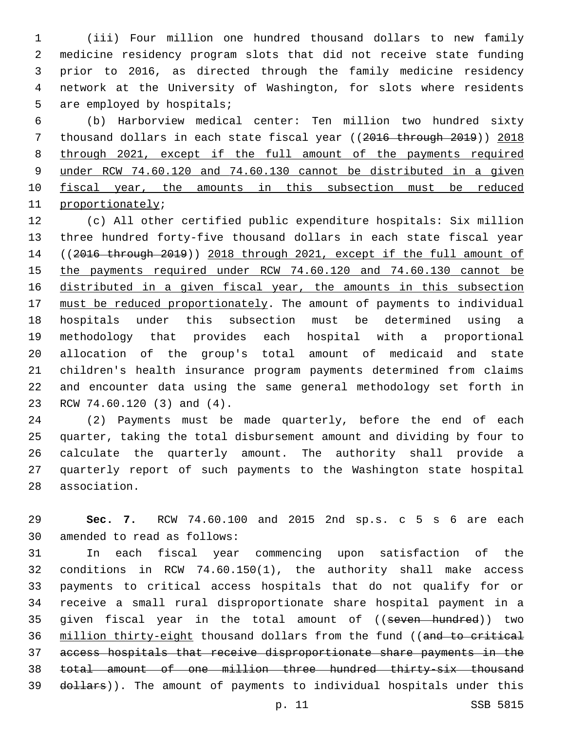(iii) Four million one hundred thousand dollars to new family medicine residency program slots that did not receive state funding prior to 2016, as directed through the family medicine residency network at the University of Washington, for slots where residents 5 are employed by hospitals;

 (b) Harborview medical center: Ten million two hundred sixty 7 thousand dollars in each state fiscal year ((2016 through 2019)) 2018 through 2021, except if the full amount of the payments required under RCW 74.60.120 and 74.60.130 cannot be distributed in a given 10 fiscal year, the amounts in this subsection must be reduced 11 proportionately;

 (c) All other certified public expenditure hospitals: Six million three hundred forty-five thousand dollars in each state fiscal year ((2016 through 2019)) 2018 through 2021, except if the full amount of the payments required under RCW 74.60.120 and 74.60.130 cannot be 16 distributed in a given fiscal year, the amounts in this subsection must be reduced proportionately. The amount of payments to individual hospitals under this subsection must be determined using a methodology that provides each hospital with a proportional allocation of the group's total amount of medicaid and state children's health insurance program payments determined from claims and encounter data using the same general methodology set forth in 23 RCW 74.60.120 (3) and (4).

 (2) Payments must be made quarterly, before the end of each quarter, taking the total disbursement amount and dividing by four to calculate the quarterly amount. The authority shall provide a quarterly report of such payments to the Washington state hospital 28 association.

 **Sec. 7.** RCW 74.60.100 and 2015 2nd sp.s. c 5 s 6 are each 30 amended to read as follows:

 In each fiscal year commencing upon satisfaction of the conditions in RCW 74.60.150(1), the authority shall make access payments to critical access hospitals that do not qualify for or receive a small rural disproportionate share hospital payment in a 35 given fiscal year in the total amount of ((seven hundred)) two 36 million thirty-eight thousand dollars from the fund ((and to critical access hospitals that receive disproportionate share payments in the total amount of one million three hundred thirty-six thousand 39 dollars)). The amount of payments to individual hospitals under this

p. 11 SSB 5815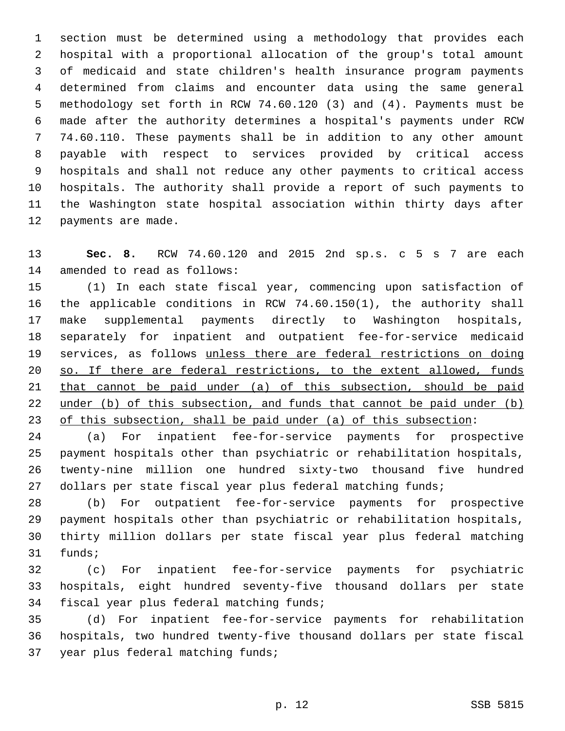section must be determined using a methodology that provides each hospital with a proportional allocation of the group's total amount of medicaid and state children's health insurance program payments determined from claims and encounter data using the same general methodology set forth in RCW 74.60.120 (3) and (4). Payments must be made after the authority determines a hospital's payments under RCW 74.60.110. These payments shall be in addition to any other amount payable with respect to services provided by critical access hospitals and shall not reduce any other payments to critical access hospitals. The authority shall provide a report of such payments to the Washington state hospital association within thirty days after 12 payments are made.

 **Sec. 8.** RCW 74.60.120 and 2015 2nd sp.s. c 5 s 7 are each 14 amended to read as follows:

 (1) In each state fiscal year, commencing upon satisfaction of the applicable conditions in RCW 74.60.150(1), the authority shall make supplemental payments directly to Washington hospitals, separately for inpatient and outpatient fee-for-service medicaid services, as follows unless there are federal restrictions on doing so. If there are federal restrictions, to the extent allowed, funds that cannot be paid under (a) of this subsection, should be paid 22 under (b) of this subsection, and funds that cannot be paid under (b) of this subsection, shall be paid under (a) of this subsection:

 (a) For inpatient fee-for-service payments for prospective payment hospitals other than psychiatric or rehabilitation hospitals, twenty-nine million one hundred sixty-two thousand five hundred 27 dollars per state fiscal year plus federal matching funds;

 (b) For outpatient fee-for-service payments for prospective payment hospitals other than psychiatric or rehabilitation hospitals, thirty million dollars per state fiscal year plus federal matching 31 funds;

 (c) For inpatient fee-for-service payments for psychiatric hospitals, eight hundred seventy-five thousand dollars per state 34 fiscal year plus federal matching funds;

 (d) For inpatient fee-for-service payments for rehabilitation hospitals, two hundred twenty-five thousand dollars per state fiscal 37 year plus federal matching funds;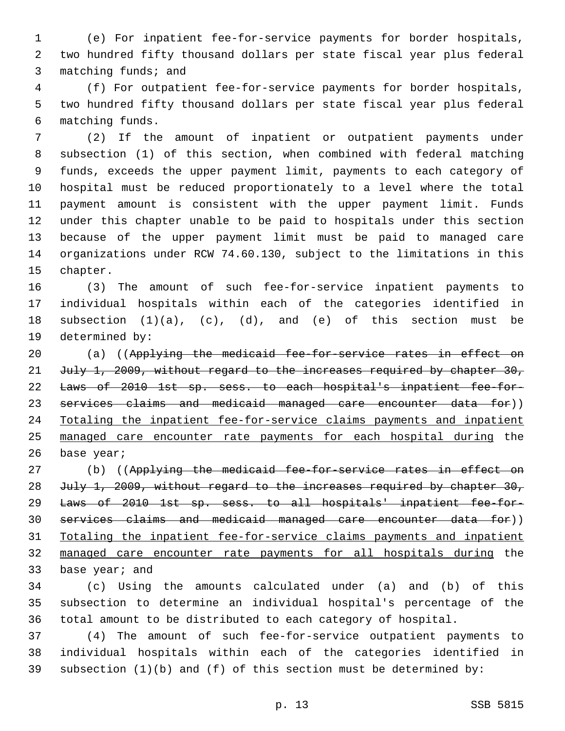(e) For inpatient fee-for-service payments for border hospitals, two hundred fifty thousand dollars per state fiscal year plus federal 3 matching funds; and

 (f) For outpatient fee-for-service payments for border hospitals, two hundred fifty thousand dollars per state fiscal year plus federal matching funds.6

 (2) If the amount of inpatient or outpatient payments under subsection (1) of this section, when combined with federal matching funds, exceeds the upper payment limit, payments to each category of hospital must be reduced proportionately to a level where the total payment amount is consistent with the upper payment limit. Funds under this chapter unable to be paid to hospitals under this section because of the upper payment limit must be paid to managed care organizations under RCW 74.60.130, subject to the limitations in this 15 chapter.

 (3) The amount of such fee-for-service inpatient payments to individual hospitals within each of the categories identified in subsection (1)(a), (c), (d), and (e) of this section must be 19 determined by:

20 (a) ((Applying the medicaid fee-for-service rates in effect on 21 July 1, 2009, without regard to the increases required by chapter 30, Laws of 2010 1st sp. sess. to each hospital's inpatient fee-for-23 services claims and medicaid managed care encounter data for)) Totaling the inpatient fee-for-service claims payments and inpatient managed care encounter rate payments for each hospital during the 26 base year;

27 (b) ((Applying the medicaid fee-for-service rates in effect on 28 July 1, 2009, without regard to the increases required by chapter 30, Laws of 2010 1st sp. sess. to all hospitals' inpatient fee-for- services claims and medicaid managed care encounter data for)) Totaling the inpatient fee-for-service claims payments and inpatient managed care encounter rate payments for all hospitals during the 33 base year; and

 (c) Using the amounts calculated under (a) and (b) of this subsection to determine an individual hospital's percentage of the total amount to be distributed to each category of hospital.

 (4) The amount of such fee-for-service outpatient payments to individual hospitals within each of the categories identified in 39 subsection  $(1)(b)$  and  $(f)$  of this section must be determined by: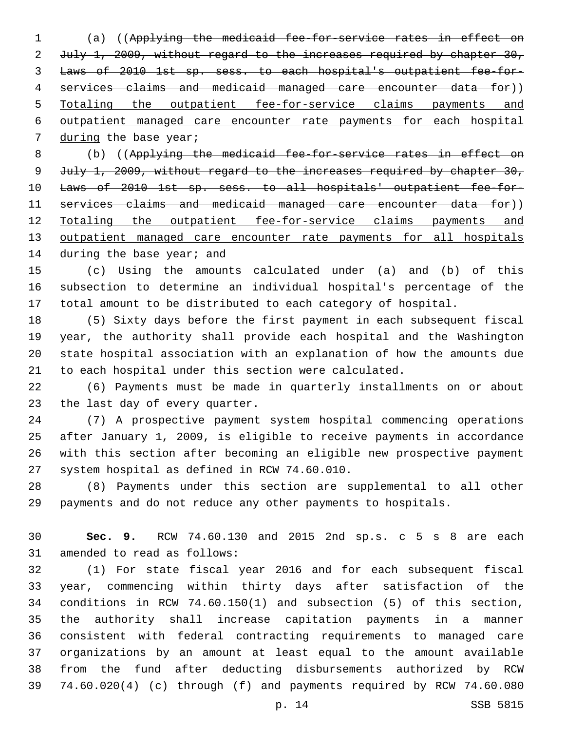(a) ((Applying the medicaid fee-for-service rates in effect on 2 July 1, 2009, without regard to the increases required by chapter 30, Laws of 2010 1st sp. sess. to each hospital's outpatient fee-for- services claims and medicaid managed care encounter data for)) Totaling the outpatient fee-for-service claims payments and outpatient managed care encounter rate payments for each hospital 7 during the base year;

 (b) ((Applying the medicaid fee-for-service rates in effect on July 1, 2009, without regard to the increases required by chapter 30, Laws of 2010 1st sp. sess. to all hospitals' outpatient fee-for- services claims and medicaid managed care encounter data for)) Totaling the outpatient fee-for-service claims payments and 13 outpatient managed care encounter rate payments for all hospitals 14 during the base year; and

 (c) Using the amounts calculated under (a) and (b) of this subsection to determine an individual hospital's percentage of the total amount to be distributed to each category of hospital.

 (5) Sixty days before the first payment in each subsequent fiscal year, the authority shall provide each hospital and the Washington state hospital association with an explanation of how the amounts due to each hospital under this section were calculated.

 (6) Payments must be made in quarterly installments on or about 23 the last day of every quarter.

 (7) A prospective payment system hospital commencing operations after January 1, 2009, is eligible to receive payments in accordance with this section after becoming an eligible new prospective payment 27 system hospital as defined in RCW 74.60.010.

 (8) Payments under this section are supplemental to all other payments and do not reduce any other payments to hospitals.

 **Sec. 9.** RCW 74.60.130 and 2015 2nd sp.s. c 5 s 8 are each 31 amended to read as follows:

 (1) For state fiscal year 2016 and for each subsequent fiscal year, commencing within thirty days after satisfaction of the conditions in RCW 74.60.150(1) and subsection (5) of this section, the authority shall increase capitation payments in a manner consistent with federal contracting requirements to managed care organizations by an amount at least equal to the amount available from the fund after deducting disbursements authorized by RCW 74.60.020(4) (c) through (f) and payments required by RCW 74.60.080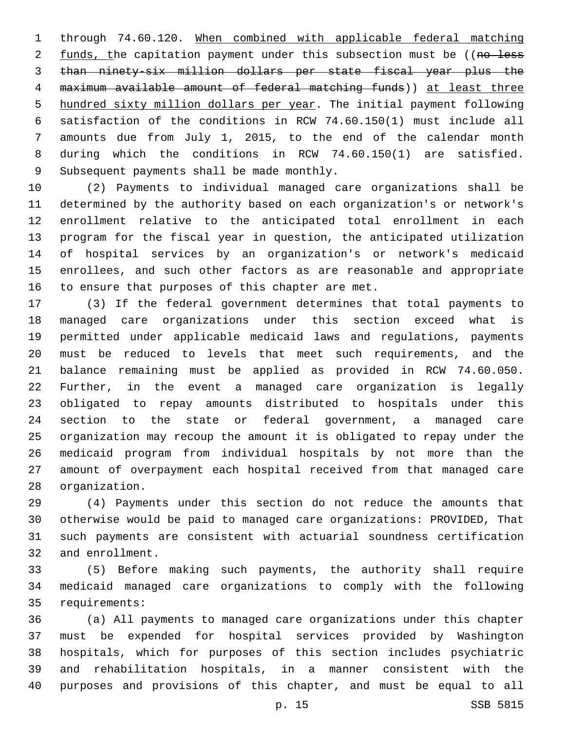through 74.60.120. When combined with applicable federal matching 2 funds, the capitation payment under this subsection must be ((no less than ninety-six million dollars per state fiscal year plus the maximum available amount of federal matching funds)) at least three hundred sixty million dollars per year. The initial payment following satisfaction of the conditions in RCW 74.60.150(1) must include all amounts due from July 1, 2015, to the end of the calendar month during which the conditions in RCW 74.60.150(1) are satisfied. 9 Subsequent payments shall be made monthly.

 (2) Payments to individual managed care organizations shall be determined by the authority based on each organization's or network's enrollment relative to the anticipated total enrollment in each program for the fiscal year in question, the anticipated utilization of hospital services by an organization's or network's medicaid enrollees, and such other factors as are reasonable and appropriate 16 to ensure that purposes of this chapter are met.

 (3) If the federal government determines that total payments to managed care organizations under this section exceed what is permitted under applicable medicaid laws and regulations, payments must be reduced to levels that meet such requirements, and the balance remaining must be applied as provided in RCW 74.60.050. Further, in the event a managed care organization is legally obligated to repay amounts distributed to hospitals under this section to the state or federal government, a managed care organization may recoup the amount it is obligated to repay under the medicaid program from individual hospitals by not more than the amount of overpayment each hospital received from that managed care 28 organization.

 (4) Payments under this section do not reduce the amounts that otherwise would be paid to managed care organizations: PROVIDED, That such payments are consistent with actuarial soundness certification 32 and enrollment.

 (5) Before making such payments, the authority shall require medicaid managed care organizations to comply with the following 35 requirements:

 (a) All payments to managed care organizations under this chapter must be expended for hospital services provided by Washington hospitals, which for purposes of this section includes psychiatric and rehabilitation hospitals, in a manner consistent with the purposes and provisions of this chapter, and must be equal to all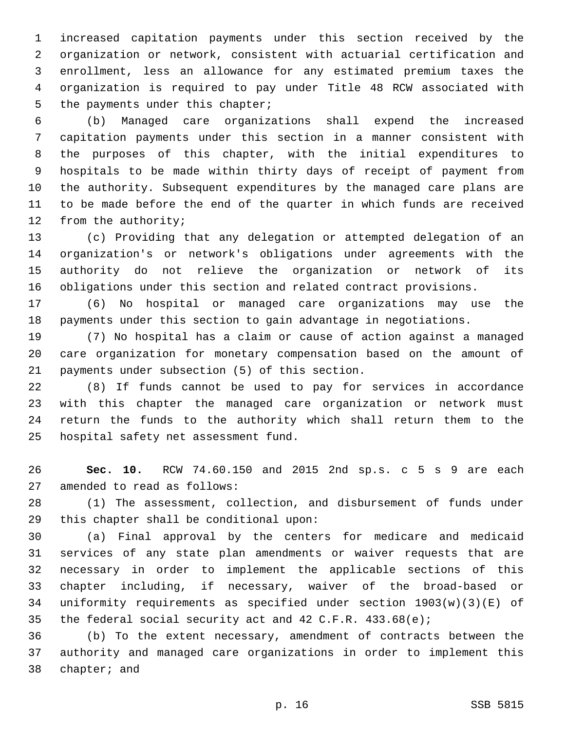increased capitation payments under this section received by the organization or network, consistent with actuarial certification and enrollment, less an allowance for any estimated premium taxes the organization is required to pay under Title 48 RCW associated with 5 the payments under this chapter;

 (b) Managed care organizations shall expend the increased capitation payments under this section in a manner consistent with the purposes of this chapter, with the initial expenditures to hospitals to be made within thirty days of receipt of payment from the authority. Subsequent expenditures by the managed care plans are to be made before the end of the quarter in which funds are received 12 from the authority;

 (c) Providing that any delegation or attempted delegation of an organization's or network's obligations under agreements with the authority do not relieve the organization or network of its obligations under this section and related contract provisions.

 (6) No hospital or managed care organizations may use the payments under this section to gain advantage in negotiations.

 (7) No hospital has a claim or cause of action against a managed care organization for monetary compensation based on the amount of 21 payments under subsection (5) of this section.

 (8) If funds cannot be used to pay for services in accordance with this chapter the managed care organization or network must return the funds to the authority which shall return them to the 25 hospital safety net assessment fund.

 **Sec. 10.** RCW 74.60.150 and 2015 2nd sp.s. c 5 s 9 are each 27 amended to read as follows:

 (1) The assessment, collection, and disbursement of funds under 29 this chapter shall be conditional upon:

 (a) Final approval by the centers for medicare and medicaid services of any state plan amendments or waiver requests that are necessary in order to implement the applicable sections of this chapter including, if necessary, waiver of the broad-based or uniformity requirements as specified under section 1903(w)(3)(E) of the federal social security act and 42 C.F.R. 433.68(e);

 (b) To the extent necessary, amendment of contracts between the authority and managed care organizations in order to implement this 38 chapter; and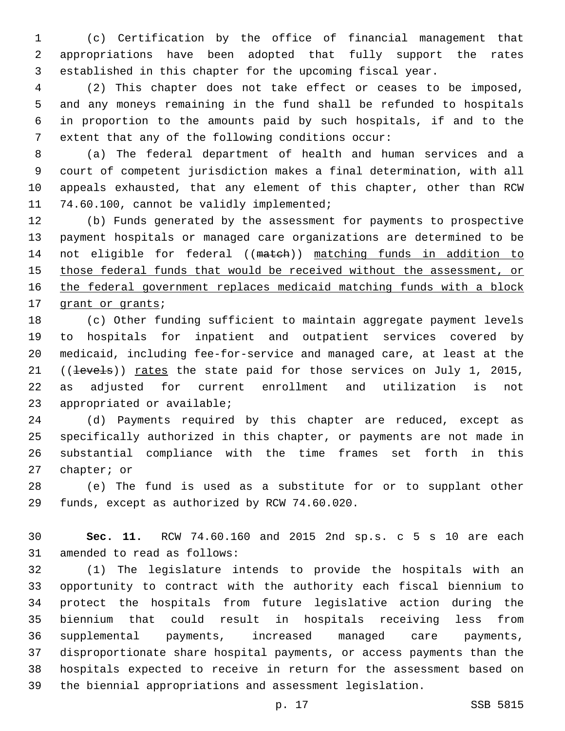(c) Certification by the office of financial management that appropriations have been adopted that fully support the rates established in this chapter for the upcoming fiscal year.

 (2) This chapter does not take effect or ceases to be imposed, and any moneys remaining in the fund shall be refunded to hospitals in proportion to the amounts paid by such hospitals, if and to the 7 extent that any of the following conditions occur:

 (a) The federal department of health and human services and a court of competent jurisdiction makes a final determination, with all appeals exhausted, that any element of this chapter, other than RCW 11 74.60.100, cannot be validly implemented;

 (b) Funds generated by the assessment for payments to prospective payment hospitals or managed care organizations are determined to be not eligible for federal ((match)) matching funds in addition to 15 those federal funds that would be received without the assessment, or the federal government replaces medicaid matching funds with a block 17 grant or grants;

 (c) Other funding sufficient to maintain aggregate payment levels to hospitals for inpatient and outpatient services covered by medicaid, including fee-for-service and managed care, at least at the 21 ((levels)) rates the state paid for those services on July 1, 2015, as adjusted for current enrollment and utilization is not 23 appropriated or available;

 (d) Payments required by this chapter are reduced, except as specifically authorized in this chapter, or payments are not made in substantial compliance with the time frames set forth in this 27 chapter; or

 (e) The fund is used as a substitute for or to supplant other 29 funds, except as authorized by RCW 74.60.020.

 **Sec. 11.** RCW 74.60.160 and 2015 2nd sp.s. c 5 s 10 are each 31 amended to read as follows:

 (1) The legislature intends to provide the hospitals with an opportunity to contract with the authority each fiscal biennium to protect the hospitals from future legislative action during the biennium that could result in hospitals receiving less from supplemental payments, increased managed care payments, disproportionate share hospital payments, or access payments than the hospitals expected to receive in return for the assessment based on the biennial appropriations and assessment legislation.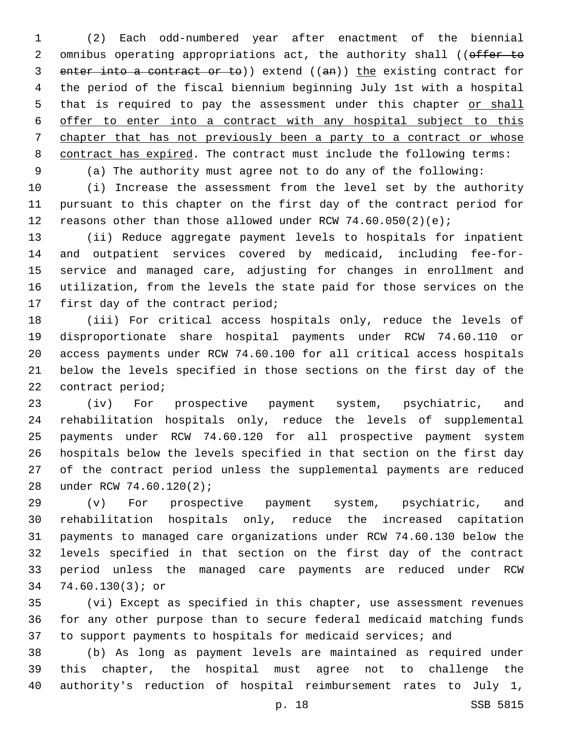(2) Each odd-numbered year after enactment of the biennial 2 omnibus operating appropriations act, the authority shall ((offer to enter into a contract or to)) extend ((an)) the existing contract for the period of the fiscal biennium beginning July 1st with a hospital 5 that is required to pay the assessment under this chapter or shall offer to enter into a contract with any hospital subject to this chapter that has not previously been a party to a contract or whose contract has expired. The contract must include the following terms: (a) The authority must agree not to do any of the following:

 (i) Increase the assessment from the level set by the authority pursuant to this chapter on the first day of the contract period for 12 reasons other than those allowed under RCW  $74.60.050(2)(e)$ ;

 (ii) Reduce aggregate payment levels to hospitals for inpatient and outpatient services covered by medicaid, including fee-for- service and managed care, adjusting for changes in enrollment and utilization, from the levels the state paid for those services on the 17 first day of the contract period;

 (iii) For critical access hospitals only, reduce the levels of disproportionate share hospital payments under RCW 74.60.110 or access payments under RCW 74.60.100 for all critical access hospitals below the levels specified in those sections on the first day of the 22 contract period;

 (iv) For prospective payment system, psychiatric, and rehabilitation hospitals only, reduce the levels of supplemental payments under RCW 74.60.120 for all prospective payment system hospitals below the levels specified in that section on the first day of the contract period unless the supplemental payments are reduced 28 under RCW 74.60.120(2);

 (v) For prospective payment system, psychiatric, and rehabilitation hospitals only, reduce the increased capitation payments to managed care organizations under RCW 74.60.130 below the levels specified in that section on the first day of the contract period unless the managed care payments are reduced under RCW 74.60.130(3); or34

 (vi) Except as specified in this chapter, use assessment revenues for any other purpose than to secure federal medicaid matching funds 37 to support payments to hospitals for medicaid services; and

 (b) As long as payment levels are maintained as required under this chapter, the hospital must agree not to challenge the authority's reduction of hospital reimbursement rates to July 1,

p. 18 SSB 5815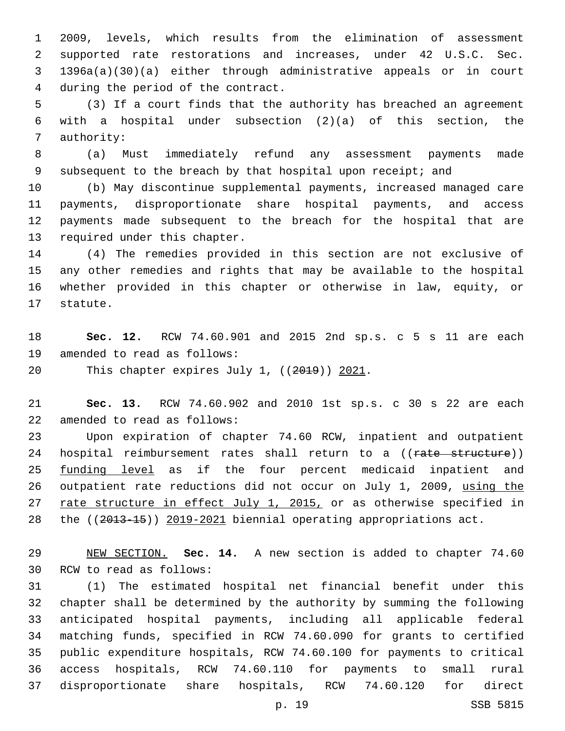2009, levels, which results from the elimination of assessment supported rate restorations and increases, under 42 U.S.C. Sec. 1396a(a)(30)(a) either through administrative appeals or in court 4 during the period of the contract.

 (3) If a court finds that the authority has breached an agreement with a hospital under subsection (2)(a) of this section, the 7 authority:

 (a) Must immediately refund any assessment payments made 9 subsequent to the breach by that hospital upon receipt; and

 (b) May discontinue supplemental payments, increased managed care payments, disproportionate share hospital payments, and access payments made subsequent to the breach for the hospital that are 13 required under this chapter.

 (4) The remedies provided in this section are not exclusive of any other remedies and rights that may be available to the hospital whether provided in this chapter or otherwise in law, equity, or 17 statute.

 **Sec. 12.** RCW 74.60.901 and 2015 2nd sp.s. c 5 s 11 are each 19 amended to read as follows:

20 This chapter expires July 1, ((2019)) 2021.

 **Sec. 13.** RCW 74.60.902 and 2010 1st sp.s. c 30 s 22 are each 22 amended to read as follows:

 Upon expiration of chapter 74.60 RCW, inpatient and outpatient 24 hospital reimbursement rates shall return to a ((rate structure)) funding level as if the four percent medicaid inpatient and 26 outpatient rate reductions did not occur on July 1, 2009, using the rate structure in effect July 1, 2015, or as otherwise specified in 28 the ((2013-15)) 2019-2021 biennial operating appropriations act.

 NEW SECTION. **Sec. 14.** A new section is added to chapter 74.60 30 RCW to read as follows:

 (1) The estimated hospital net financial benefit under this chapter shall be determined by the authority by summing the following anticipated hospital payments, including all applicable federal matching funds, specified in RCW 74.60.090 for grants to certified public expenditure hospitals, RCW 74.60.100 for payments to critical access hospitals, RCW 74.60.110 for payments to small rural disproportionate share hospitals, RCW 74.60.120 for direct

p. 19 SSB 5815